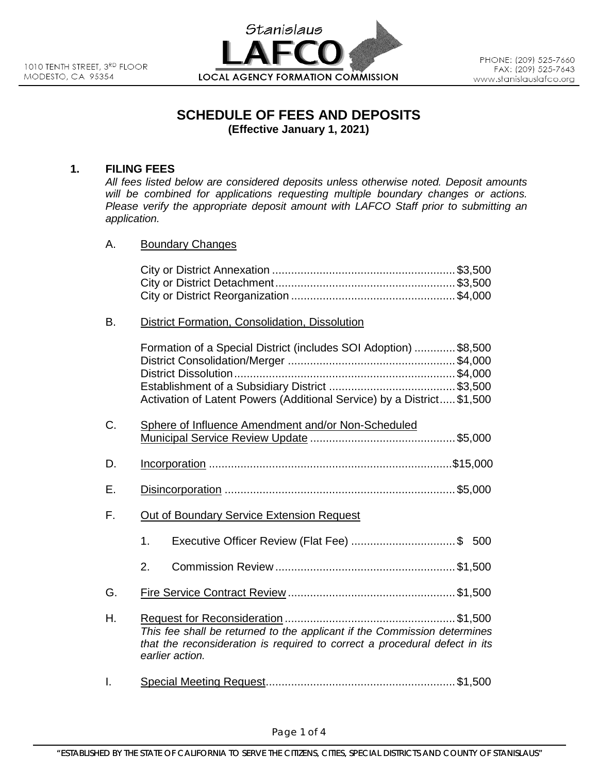

# **SCHEDULE OF FEES AND DEPOSITS (Effective January 1, 2021)**

### **1. FILING FEES**

*All fees listed below are considered deposits unless otherwise noted. Deposit amounts will be combined for applications requesting multiple boundary changes or actions. Please verify the appropriate deposit amount with LAFCO Staff prior to submitting an application.*

A. Boundary Changes

## B. District Formation, Consolidation, Dissolution

|    | Formation of a Special District (includes SOI Adoption) \$8,500<br>Activation of Latent Powers (Additional Service) by a District \$1,500                                 |  |  |
|----|---------------------------------------------------------------------------------------------------------------------------------------------------------------------------|--|--|
| C. | Sphere of Influence Amendment and/or Non-Scheduled                                                                                                                        |  |  |
| D. |                                                                                                                                                                           |  |  |
| Е. |                                                                                                                                                                           |  |  |
| F. | Out of Boundary Service Extension Request                                                                                                                                 |  |  |
|    | $1_{-}$                                                                                                                                                                   |  |  |
|    | 2.                                                                                                                                                                        |  |  |
| G. |                                                                                                                                                                           |  |  |
| Η. | This fee shall be returned to the applicant if the Commission determines<br>that the reconsideration is required to correct a procedural defect in its<br>earlier action. |  |  |

I. Special Meeting Request............................................................ \$1,500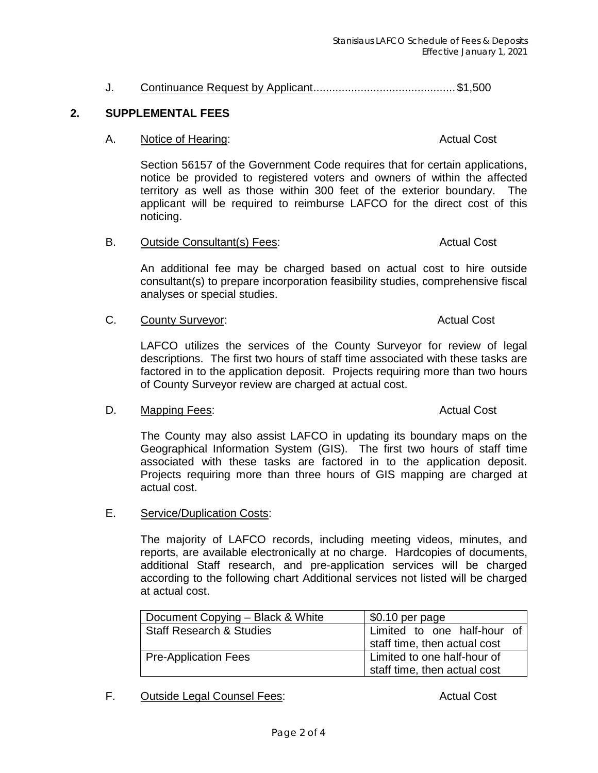## J. Continuance Request by Applicant............................................. \$1,500

### **2. SUPPLEMENTAL FEES**

### A. Notice of Hearing: Notice and Actual Cost

Section 56157 of the Government Code requires that for certain applications, notice be provided to registered voters and owners of within the affected territory as well as those within 300 feet of the exterior boundary. The applicant will be required to reimburse LAFCO for the direct cost of this noticing.

B. Outside Consultant(s) Fees: Actual Cost

An additional fee may be charged based on actual cost to hire outside consultant(s) to prepare incorporation feasibility studies, comprehensive fiscal analyses or special studies.

### C. County Surveyor: Case County Surveyor:

LAFCO utilizes the services of the County Surveyor for review of legal descriptions. The first two hours of staff time associated with these tasks are factored in to the application deposit. Projects requiring more than two hours of County Surveyor review are charged at actual cost.

### D. Mapping Fees: Actual Cost Actual Cost Actual Cost

The County may also assist LAFCO in updating its boundary maps on the Geographical Information System (GIS). The first two hours of staff time associated with these tasks are factored in to the application deposit. Projects requiring more than three hours of GIS mapping are charged at actual cost.

E. Service/Duplication Costs:

The majority of LAFCO records, including meeting videos, minutes, and reports, are available electronically at no charge. Hardcopies of documents, additional Staff research, and pre-application services will be charged according to the following chart Additional services not listed will be charged at actual cost.

| Document Copying - Black & White    | \$0.10 per page              |  |
|-------------------------------------|------------------------------|--|
| <b>Staff Research &amp; Studies</b> | Limited to one half-hour of  |  |
|                                     | staff time, then actual cost |  |
| <b>Pre-Application Fees</b>         | Limited to one half-hour of  |  |
|                                     | staff time, then actual cost |  |

## F. Outside Legal Counsel Fees: Actual Cost Actual Cost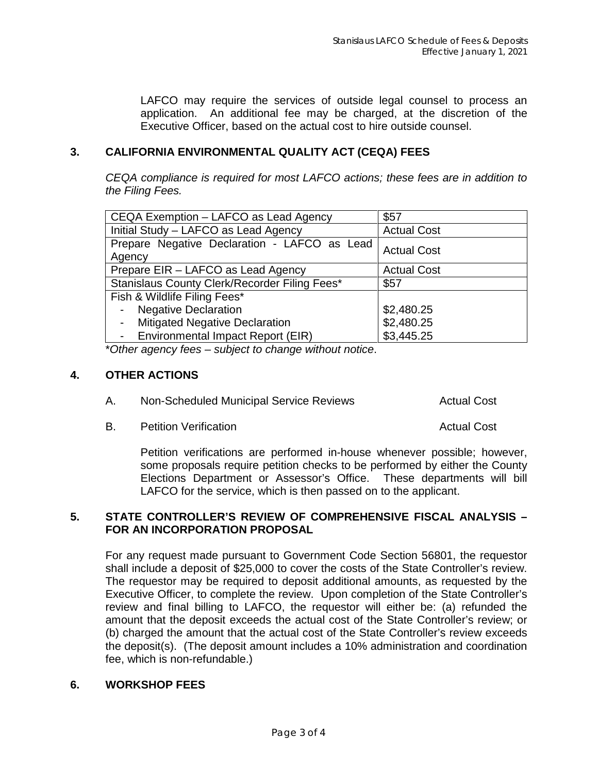LAFCO may require the services of outside legal counsel to process an application. An additional fee may be charged, at the discretion of the Executive Officer, based on the actual cost to hire outside counsel.

## **3. CALIFORNIA ENVIRONMENTAL QUALITY ACT (CEQA) FEES**

*CEQA compliance is required for most LAFCO actions; these fees are in addition to the Filing Fees.*

| CEQA Exemption - LAFCO as Lead Agency                  | \$57               |
|--------------------------------------------------------|--------------------|
| Initial Study - LAFCO as Lead Agency                   | <b>Actual Cost</b> |
| Prepare Negative Declaration - LAFCO as Lead<br>Agency | <b>Actual Cost</b> |
| Prepare EIR - LAFCO as Lead Agency                     | <b>Actual Cost</b> |
| Stanislaus County Clerk/Recorder Filing Fees*          | \$57               |
| Fish & Wildlife Filing Fees*                           |                    |
| - Negative Declaration                                 | \$2,480.25         |
| <b>Mitigated Negative Declaration</b>                  | \$2,480.25         |
| - Environmental Impact Report (EIR)                    | \$3,445.25         |

\**Other agency fees – subject to change without notice*.

### **4. OTHER ACTIONS**

| Non-Scheduled Municipal Service Reviews | <b>Actual Cost</b> |
|-----------------------------------------|--------------------|
|                                         |                    |

B. Petition Verification **B. Actual Cost Actual Cost** 

Petition verifications are performed in-house whenever possible; however, some proposals require petition checks to be performed by either the County Elections Department or Assessor's Office. These departments will bill LAFCO for the service, which is then passed on to the applicant.

## **5. STATE CONTROLLER'S REVIEW OF COMPREHENSIVE FISCAL ANALYSIS – FOR AN INCORPORATION PROPOSAL**

For any request made pursuant to Government Code Section 56801, the requestor shall include a deposit of \$25,000 to cover the costs of the State Controller's review. The requestor may be required to deposit additional amounts, as requested by the Executive Officer, to complete the review. Upon completion of the State Controller's review and final billing to LAFCO, the requestor will either be: (a) refunded the amount that the deposit exceeds the actual cost of the State Controller's review; or (b) charged the amount that the actual cost of the State Controller's review exceeds the deposit(s). (The deposit amount includes a 10% administration and coordination fee, which is non-refundable.)

## **6. WORKSHOP FEES**